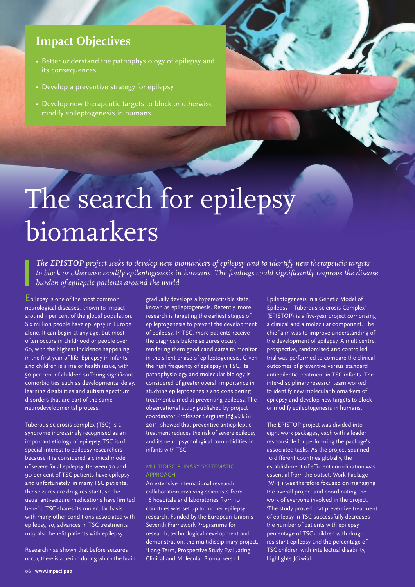## **Impact Objectives**

- Better understand the pathophysiology of epilepsy and its consequences
- Develop a preventive strategy for epilepsy
- Develop new therapeutic targets to block or otherwise modify epileptogenesis in humans

# The search for epilepsy biomarkers

*The EPISTOP project seeks to develop new biomarkers of epilepsy and to identify new therapeutic targets to block or otherwise modify epileptogenesis in humans. The findings could significantly improve the disease burden of epileptic patients around the world*

Epilepsy is one of the most common neurological diseases, known to impact around 1 per cent of the global population. Six million people have epilepsy in Europe alone. It can begin at any age, but most often occurs in childhood or people over 60, with the highest incidence happening in the first year of life. Epilepsy in infants and children is a major health issue, with 50 per cent of children suffering significant comorbidities such as developmental delay, learning disabilities and autism spectrum disorders that are part of the same neurodevelopmental process.

Tuberous sclerosis complex (TSC) is a syndrome increasingly recognised as an important etiology of epilepsy. TSC is of special interest to epilepsy researchers because it is considered a clinical model of severe focal epilepsy. Between 70 and 90 per cent of TSC patients have epilepsy and unfortunately, in many TSC patients, the seizures are drug-resistant, so the usual anti-seizure medications have limited benefit. TSC shares its molecular basis with many other conditions associated with epilepsy, so, advances in TSC treatments may also benefit patients with epilepsy.

Research has shown that before seizures occur, there is a period during which the brain gradually develops a hyperexcitable state, known as epileptogenesis. Recently, more research is targeting the earliest stages of epileptogenesis to prevent the development of epilepsy. In TSC, more patients receive the diagnosis before seizures occur, rendering them good candidates to monitor in the silent phase of epileptogenesis. Given the high frequency of epilepsy in TSC, its pathophysiology and molecular biology is considered of greater overall importance in studying epileptogenesis and considering treatment aimed at preventing epilepsy. The observational study published by project coordinator Professor Sergiusz Jóźwiak in 2011, showed that preventive antiepileptic treatment reduces the risk of severe epilepsy and its neuropsychological comorbidities in infants with TSC.

### MULTIDISCIPLINARY SYSTEMATIC APPROACH

An extensive international research collaboration involving scientists from 16 hospitals and laboratories from 10 countries was set up to further epilepsy research. Funded by the European Union's Seventh Framework Programme for research, technological development and demonstration, the multidisciplinary project, 'Long-Term, Prospective Study Evaluating Clinical and Molecular Biomarkers of

Epileptogenesis in a Genetic Model of Epilepsy – Tuberous sclerosis Complex' (EPISTOP) is a five-year project comprising a clinical and a molecular component. The chief aim was to improve understanding of the development of epilepsy. A multicentre, prospective, randomised and controlled trial was performed to compare the clinical outcomes of preventive versus standard antiepileptic treatment in TSC infants. The inter-disciplinary research team worked to identify new molecular biomarkers of epilepsy and develop new targets to block or modify epileptogenesis in humans.

The EPISTOP project was divided into eight work packages, each with a leader responsible for performing the package's associated tasks. As the project spanned 10 different countries globally, the establishment of efficient coordination was essential from the outset. Work Package (WP) 1 was therefore focused on managing the overall project and coordinating the work of everyone involved in the project. 'The study proved that preventive treatment of epilepsy in TSC successfully decreases the number of patients with epilepsy, percentage of TSC children with drugresistant epilepsy and the percentage of TSC children with intellectual disability,' highlights Jóźwiak.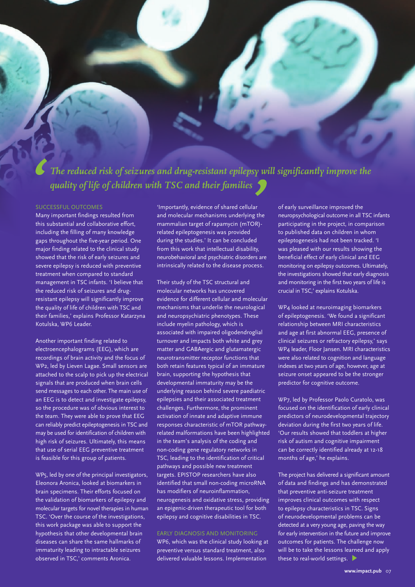*The reduced risk of seizures and drug-resistant epilepsy will significantly improve the quality of life of children with TSC and their families*

### SUCCESSFUL OUTCOMES

Many important findings resulted from this substantial and collaborative effort, including the filling of many knowledge gaps throughout the five-year period. One major finding related to the clinical study showed that the risk of early seizures and severe epilepsy is reduced with preventive treatment when compared to standard management in TSC infants. 'I believe that the reduced risk of seizures and drugresistant epilepsy will significantly improve the quality of life of children with TSC and their families,' explains Professor Katarzyna Kotulska, WP6 Leader.

Another important finding related to electroencephalograms (EEG), which are recordings of brain activity and the focus of WP2, led by Lieven Lagae. Small sensors are attached to the scalp to pick up the electrical signals that are produced when brain cells send messages to each other. The main use of an EEG is to detect and investigate epilepsy, so the procedure was of obvious interest to the team. They were able to prove that EEG can reliably predict epileptogenesis in TSC and may be used for identification of children with high risk of seizures. Ultimately, this means that use of serial EEG preventive treatment is feasible for this group of patients.

WP5, led by one of the principal investigators, Eleonora Aronica, looked at biomarkers in brain specimens. Their efforts focused on the validation of biomarkers of epilepsy and molecular targets for novel therapies in human TSC. 'Over the course of the investigations, this work package was able to support the hypothesis that other developmental brain diseases can share the same hallmarks of immaturity leading to intractable seizures observed in TSC,' comments Aronica.

'Importantly, evidence of shared cellular and molecular mechanisms underlying the mammalian target of rapamycin (mTOR) related epileptogenesis was provided during the studies.' It can be concluded from this work that intellectual disability, neurobehavioral and psychiatric disorders are intrinsically related to the disease process.

Their study of the TSC structural and molecular networks has uncovered evidence for different cellular and molecular mechanisms that underlie the neurological and neuropsychiatric phenotypes. These include myelin pathology, which is associated with impaired oligodendroglial turnover and impacts both white and grey matter and GABAergic and glutamatergic neurotransmitter receptor functions that both retain features typical of an immature brain, supporting the hypothesis that developmental immaturity may be the underlying reason behind severe paediatric epilepsies and their associated treatment challenges. Furthermore, the prominent activation of innate and adaptive immune responses characteristic of mTOR pathwayrelated malformations have been highlighted in the team's analysis of the coding and non-coding gene regulatory networks in TSC, leading to the identification of critical pathways and possible new treatment targets. EPISTOP researchers have also identified that small non-coding microRNA has modifiers of neuroinflammation, neurogenesis and oxidative stress, providing an epigenic-driven therapeutic tool for both epilepsy and cognitive disabilities in TSC.

### EARLY DIAGNOSIS AND MONITORING

WP6, which was the clinical study looking at preventive versus standard treatment, also delivered valuable lessons. Implementation

of early surveillance improved the neuropsychological outcome in all TSC infants participating in the project, in comparison to published data on children in whom epileptogenesis had not been tracked. 'I was pleased with our results showing the beneficial effect of early clinical and EEG monitoring on epilepsy outcomes. Ultimately, the investigations showed that early diagnosis and monitoring in the first two years of life is crucial in TSC,' explains Kotulska.

WP4 looked at neuroimaging biomarkers of epileptogenesis. 'We found a significant relationship between MRI characteristics and age at first abnormal EEG, presence of clinical seizures or refractory epilepsy,' says WP4 leader, Floor Jansen. MRI characteristics were also related to cognition and language indexes at two years of age, however, age at seizure onset appeared to be the stronger predictor for cognitive outcome.

WP7, led by Professor Paolo Curatolo, was focused on the identification of early clinical predictors of neurodevelopmental trajectory deviation during the first two years of life. 'Our results showed that toddlers at higher risk of autism and cognitive impairment can be correctly identified already at 12-18 months of age,' he explains.

The project has delivered a significant amount of data and findings and has demonstrated that preventive anti-seizure treatment improves clinical outcomes with respect to epilepsy characteristics in TSC. Signs of neurodevelopmental problems can be detected at a very young age, paving the way for early intervention in the future and improve outcomes for patients. The challenge now will be to take the lessons learned and apply these to real-world settings.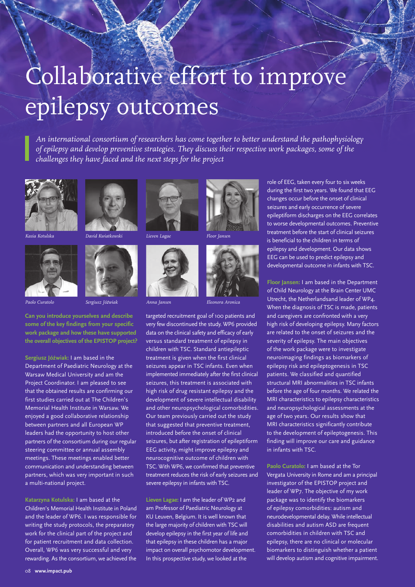# Collaborative effort to improve epilepsy outcomes

*An international consortium of researchers has come together to better understand the pathophysiology of epilepsy and develop preventive strategies. They discuss their respective work packages, some of the challenges they have faced and the next steps for the project*











**Can you introduce yourselves and describe some of the key findings from your specific work package and how these have supported the overall objectives of the EPISTOP project?**

**Sergiusz Jóźwiak:** I am based in the Department of Paediatric Neurology at the Warsaw Medical University and am the Project Coordinator. I am pleased to see that the obtained results are confirming our first studies carried out at The Children's Memorial Health Institute in Warsaw. We enjoyed a good collaborative relationship between partners and all European WP leaders had the opportunity to host other partners of the consortium during our regular steering committee or annual assembly meetings. These meetings enabled better communication and understanding between partners, which was very important in such a multi-national project.

**Katarzyna Kotulska:** I am based at the Children's Memorial Health Institute in Poland and the leader of WP6. I was responsible for writing the study protocols, the preparatory work for the clinical part of the project and for patient recruitment and data collection. Overall, WP6 was very successful and very rewarding. As the consortium, we achieved the







targeted recruitment goal of 100 patients and very few discontinued the study. WP6 provided data on the clinical safety and efficacy of early versus standard treatment of epilepsy in children with TSC. Standard antiepileptic treatment is given when the first clinical seizures appear in TSC infants. Even when implemented immediately after the first clinical seizures, this treatment is associated with high risk of drug resistant epilepsy and the development of severe intellectual disability and other neuropsychological comorbidities. Our team previously carried out the study that suggested that preventive treatment, introduced before the onset of clinical seizures, but after registration of epileptiform EEG activity, might improve epilepsy and neurocognitive outcome of children with TSC. With WP6, we confirmed that preventive treatment reduces the risk of early seizures and severe epilepsy in infants with TSC. *Paolo Curatolo Sergiusz Jóźwiak Anna Jansen Eleonora Aronica*

> **Lieven Lagae:** I am the leader of WP2 and am Professor of Paediatric Neurology at KU Leuven, Belgium. It is well known that the large majority of children with TSC will develop epilepsy in the first year of life and that epilepsy in these children has a major impact on overall psychomotor development. In this prospective study, we looked at the



role of EEG, taken every four to six weeks during the first two years. We found that EEG changes occur before the onset of clinical seizures and early occurrence of severe epileptiform discharges on the EEG correlates to worse developmental outcomes. Preventive treatment before the start of clinical seizures is beneficial to the children in terms of epilepsy and development. Our data shows EEG can be used to predict epilepsy and developmental outcome in infants with TSC.

**Floor Jansen:** I am based in the Department of Child Neurology at the Brain Center UMC Utrecht, the Netherlandsand leader of WP4. When the diagnosis of TSC is made, patients and caregivers are confronted with a very high risk of developing epilepsy. Many factors are related to the onset of seizures and the severity of epilepsy. The main objectives of the work package were to investigate neuroimaging findings as biomarkers of epilepsy risk and epileptogenesis in TSC patients. We classified and quantified structural MRI abnormalities in TSC infants before the age of four months. We related the MRI characteristics to epilepsy characteristics and neuropsychological assessments at the age of two years. Our results show that MRI characteristics significantly contribute to the development of epileptogenesis. This finding will improve our care and guidance in infants with TSC.

**Paolo Curatolo:** I am based at the Tor Vergata University in Rome and am a principal investigator of the EPISTOP project and leader of WP7. The objective of my work package was to identify the biomarkers of epilepsy comorbidities: autism and neurodevelopmental delay. While intellectual disabilities and autism ASD are frequent comorbidities in children with TSC and epilepsy, there are no clinical or molecular biomarkers to distinguish whether a patient will develop autism and cognitive impairment.